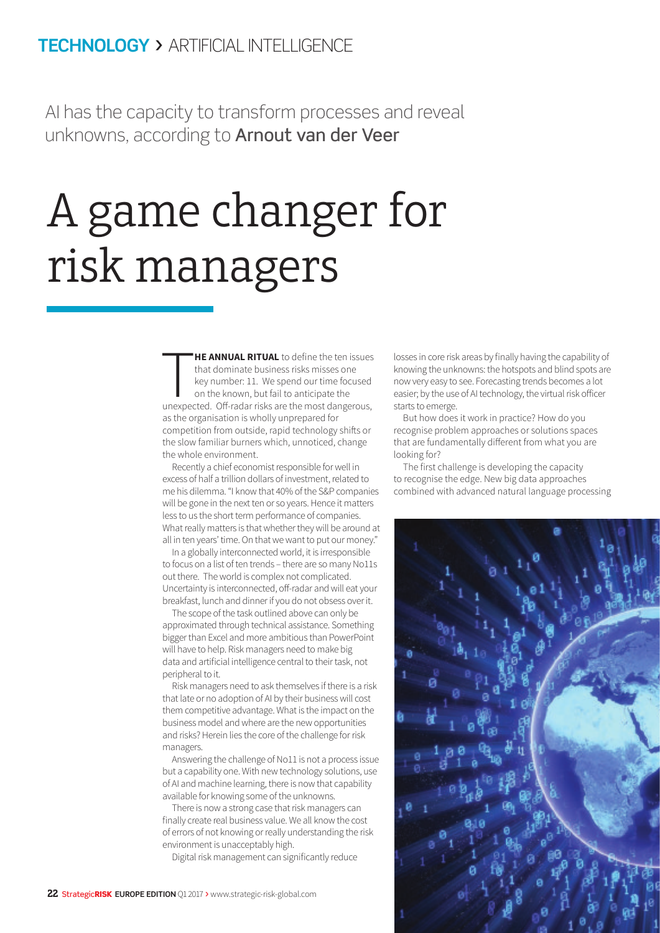## **TECHNOLOGY >** ARTIFICIAL INTELLIGENCE

AI has the capacity to transform processes and reveal unknowns, according to **Arnout van der Veer** 

## A game changer for risk managers

**HE ANNUAL RITUAL** to define the ten issues<br>that dominate business risks misses one<br>key number: 11. We spend our time focused<br>on the known, but fail to anticipate the<br>unexpected. Off-radar risks are the most dangerous, **HE ANNUAL RITUAL** to define the ten issues that dominate business risks misses one key number: 11. We spend our time focused on the known, but fail to anticipate the as the organisation is wholly unprepared for competition from outside, rapid technology shifts or the slow familiar burners which, unnoticed, change the whole environment.

Recently a chief economist responsible for well in excess of half a trillion dollars of investment, related to me his dilemma. "I know that 40% of the S&P companies will be gone in the next ten or so years. Hence it matters less to us the short term performance of companies. What really matters is that whether they will be around at all in ten years' time. On that we want to put our money."

In a globally interconnected world, it is irresponsible to focus on a list of ten trends – there are so many No11s out there. The world is complex not complicated. Uncertainty is interconnected, off-radar and will eat your breakfast, lunch and dinner if you do not obsess over it.

The scope of the task outlined above can only be approximated through technical assistance. Something bigger than Excel and more ambitious than PowerPoint will have to help. Risk managers need to make big data and artificial intelligence central to their task, not peripheral to it.

Risk managers need to ask themselves if there is a risk that late or no adoption of AI by their business will cost them competitive advantage. What is the impact on the business model and where are the new opportunities and risks? Herein lies the core of the challenge for risk managers.

Answering the challenge of No11 is not a process issue but a capability one. With new technology solutions, use of AI and machine learning, there is now that capability available for knowing some of the unknowns.

There is now a strong case that risk managers can finally create real business value. We all know the cost of errors of not knowing or really understanding the risk environment is unacceptably high.

Digital risk management can significantly reduce

losses in core risk areas by finally having the capability of knowing the unknowns: the hotspots and blind spots are now very easy to see. Forecasting trends becomes a lot easier; by the use of AI technology, the virtual risk officer starts to emerge.

But how does it work in practice? How do you recognise problem approaches or solutions spaces that are fundamentally different from what you are looking for?

The first challenge is developing the capacity to recognise the edge. New big data approaches combined with advanced natural language processing